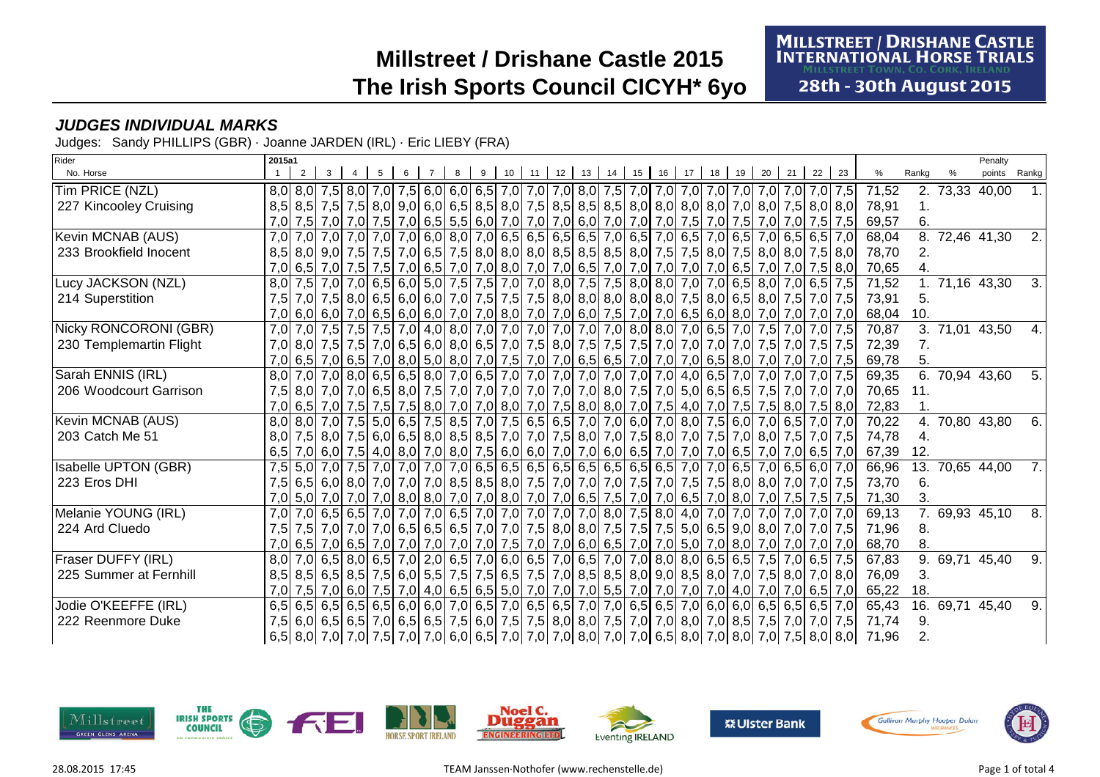**MILLSTREET / DRISHANE CASTLE INTERNATIONAL HORSE TRIALS** 

**28th - 30th August 2015** 

#### **JUDGES INDIVIDUAL MARKS**

Judges: Sandy PHILLIPS (GBR) · Joanne JARDEN (IRL) · Eric LIEBY (FRA)

| Rider                       | 2015a1 |  |  |  |  |    |                                                               |         |    |    |    |                                                                                                     |    |    |    |    |    |                                                                                                                 |       |                  |                | Penalty |                  |
|-----------------------------|--------|--|--|--|--|----|---------------------------------------------------------------|---------|----|----|----|-----------------------------------------------------------------------------------------------------|----|----|----|----|----|-----------------------------------------------------------------------------------------------------------------|-------|------------------|----------------|---------|------------------|
| No. Horse                   |        |  |  |  |  | 10 | 11                                                            | $12$ 13 | 14 | 15 | 16 |                                                                                                     | 18 | 19 | 20 | 21 | 22 | 23                                                                                                              | %     | Rankg            |                | points  | Rankg            |
| Tim PRICE (NZL)             |        |  |  |  |  |    |                                                               |         |    |    |    |                                                                                                     |    |    |    |    |    |                                                                                                                 | 71,52 |                  | 2. 73,33 40,00 |         |                  |
| 227 Kincooley Cruising      |        |  |  |  |  |    |                                                               |         |    |    |    |                                                                                                     |    |    |    |    |    | 8,5 8,5 7,5 7,5 8,0 9,0 6,0 6,5 8,5 8,0 7,5 8,5 8,5 8,5 8,0 8,0 8,0 8,0 8,0 7,0 8,0 7,5 8,0 8,0                 | 78,91 |                  |                |         |                  |
|                             |        |  |  |  |  |    |                                                               |         |    |    |    | 7,0 7,5 7,0 7,5 7,0 7,5 7,0 6,5 7,0 6,6 7,0 7,0 7,0 6,0 7,0 7,0 7,0 7,0 7,0 7,5 7,0 7,5 7,0 7,5 7,0 |    |    |    |    |    | 7,0 7,5 7,5                                                                                                     | 69,57 | 6.               |                |         |                  |
| Kevin MCNAB (AUS)           | 7.0    |  |  |  |  |    |                                                               |         |    |    |    |                                                                                                     |    |    |    |    |    | 7,0 7,0 7,0 7,0 7,0 6,5 6,0 8,0 7,0 6,5 6,5 6,5 6,5 7,0 6,5 7,0 6,5 7,0 6,5 7,0 6,5 7,0 6,5 6,5 7,0             | 68,04 | 8.               | 72,46 41,30    |         | 2.               |
| 233 Brookfield Inocent      |        |  |  |  |  |    |                                                               |         |    |    |    |                                                                                                     |    |    |    |    |    | 8,5 8,0 9,0 7,5 7,5 7,5 7,0 6,5 7,5 8,0 8,0 8,0 8,0 8,5 8,5 8,5 8,0 7,5 7,5 8,0 7,5 8,0 8,0 7,5 8,0 7,5         | 78,70 | 2.               |                |         |                  |
|                             |        |  |  |  |  |    |                                                               |         |    |    |    |                                                                                                     |    |    |    |    |    | 7,0 6,5 7,0 7,5 7,0 7,5 7,0 6,0 7,0 6,0 7,0 6,5 7,0 6,5 7,0 7,0 7,0 7,0 7,0 7,0 6,5 7,0 7,0 7,0 7,5 8,0         | 70,65 |                  |                |         |                  |
| Lucy JACKSON (NZL)          |        |  |  |  |  |    |                                                               |         |    |    |    |                                                                                                     |    |    |    |    |    | 8,0 7,5 7,0 7,0 6,5 6,0 5,0 7,5 7,5 7,0 7,0 8,0 7,5 7,5 8,0 8,0 7,0 7,0 6,5 8,0 7,0 6,5 8,0 7,0 6,5 7,5         | 71,52 | 1 <sub>1</sub>   | 71,16 43,30    |         | 3.               |
| 214 Superstition            | 7.5    |  |  |  |  |    |                                                               |         |    |    |    |                                                                                                     |    |    |    |    |    | 7,0 7,5 8,0 6,5 6,0 6,5 6,0 7,0 7,5 7,5 7,5 7,5 8,0 8,0 8,0 8,0 8,0 7,5 8,0 6,5 8,0 7,5 7,0 7,5                 | 73,91 | 5.               |                |         |                  |
|                             |        |  |  |  |  |    |                                                               |         |    |    |    | 7,0 6,0 6,0 7,0 6,5 6,0 6,0 6,0 7,0 7,0 8,0 7,0 7,0 6,0 7,5 7,0 7,0 6,5 6,0 8,0 7,0                 |    |    |    |    |    | $7,0$ 7,0 $7,0$                                                                                                 | 68,04 | 10.              |                |         |                  |
| Nicky RONCORONI (GBR)       |        |  |  |  |  |    |                                                               |         |    |    |    | 7,0 7,0 7,0 7,5 7,0 7,6 7,0 4,0 8,0 7,0 7,0 7,0 7,0 7,0 7,0 8,0 8,0 7,0 6,5 7,0 7,5 7,0 7,0 7,0     |    |    |    |    |    |                                                                                                                 | 70,87 | 3.               | 71,01 43,50    |         | 4.               |
| 230 Templemartin Flight     |        |  |  |  |  |    |                                                               |         |    |    |    |                                                                                                     |    |    |    |    |    | 7,0 8,0 7,5 7,0 7,5 7,0 7,5 7,0 6,5 6,0 8,0 6,5 7,0 7,5 8,0 7,5 7,5 7,5 7,0 7,0 7,0 7,0 7,0 7,5 7,0 7,5 7,5     | 72,39 | 7.               |                |         |                  |
|                             |        |  |  |  |  |    |                                                               |         |    |    |    |                                                                                                     |    |    |    |    |    | 7,0 6,5 7,0 6,5 7,0 6,5 7,0 8,0 5,0 8,0 7,0 7,5 7,0 7,0 6,5 6,5 7,0 7,0 7,0 6,5 8,0 7,0 7,0 7,0 7,0 7,5         | 69,78 |                  |                |         |                  |
| Sarah ENNIS (IRL)           |        |  |  |  |  |    | $8,0$ 7,0 7,0 8,0 6,5 6,5 8,0 7,0 6,5 7,0 7,0 7,0 7,0 7,0 7,0 |         |    |    |    | $7,0$ $7,0$ 4,0 6,5 $7,0$ 7,0                                                                       |    |    |    |    |    | 7.0 7.0 7.5                                                                                                     | 69,35 | $\overline{6}$ . | 70,94 43,60    |         | 5.               |
| 206 Woodcourt Garrison      | 7,5    |  |  |  |  |    |                                                               |         |    |    |    | 8,0 7,0 5,0 6,5 6,5 7,5 7,0 7,0 7,0 7,0 7,0 7,0 7,0 7,0 8,0 7,5 7,0 5,0 6,5 6,5 7,5                 |    |    |    |    |    | $7.0$ 7.0 $7.0$                                                                                                 | 70,65 | 11.              |                |         |                  |
|                             |        |  |  |  |  |    |                                                               |         |    |    |    |                                                                                                     |    |    |    |    |    | 7,0 6,5 7,0 7,5 7,5 7,5 7,5 8,0 7,0 7,0 8,0 7,0 8,0 7,0 7,5 8,0 8,0 7,0 7,5 4,0 7,0 7,5 7,5 8,0 7,5 8,0 7,5 8,0 | 72,83 |                  |                |         |                  |
| Kevin MCNAB (AUS)           |        |  |  |  |  |    |                                                               |         |    |    |    |                                                                                                     |    |    |    |    |    | 8,0 7,0 7,0 7,0 7,0 6,5 7,0 7,5 8,5 7,0 7,5 6,5 6,5 7,0 7,0 6,0 7,0 8,0 7,5 6,0 7,0 6,5 7,0 7,0                 | 70,22 | 4.               | 70,80 43,80    |         | 6.               |
| 203 Catch Me 51             |        |  |  |  |  |    |                                                               |         |    |    |    |                                                                                                     |    |    |    |    |    | 8,0 7,5 8,0 7,5 8,0 7,5 6,0 6,5 8,0 8,5 8,5 7,0 7,0 7,5 8,0 7,0 7,5 8,0 7,0 7,5 7,0 8,0 7,5 7,0 8,0 7,5 7,0 7,5 | 74,78 |                  |                |         |                  |
|                             |        |  |  |  |  |    |                                                               |         |    |    |    |                                                                                                     |    |    |    |    |    | 6,5 7,0 6,0 7,5 4,0 8,0 7,0 8,0 7,5 6,0 6,0 7,0 7,0 7,0 6,0 6,5 7,0 7,0 7,0 6,5 7,0 7,0 7,0 7,0 6,5 7,0         | 67,39 | 12.              |                |         |                  |
| <b>Isabelle UPTON (GBR)</b> |        |  |  |  |  |    |                                                               |         |    |    |    |                                                                                                     |    |    |    |    |    | 7,5 5,0 7,0 7,5 7,0 7,0 7,0 7,0 7,0 6,5 6,5 6,5 6,5 6,5 6,5 6,5 6,5 6,5 7,0 7,0 6,5 7,0 6,5 6,0 7,0             | 66,96 | 13.              | 70,65 44,00    |         | 7.1              |
| 223 Eros DHI                | 7,5    |  |  |  |  |    |                                                               |         |    |    |    |                                                                                                     |    |    |    |    |    | 6,5 6,0 7,0 7,0 7,0 7,0 8,5 8,5 8,6 8,6 7,5 7,0 7,6 7,0 7,5 7,0 7,5 7,0 7,5 8,0 8,0 7,0 7,0 7,0 7,5             | 73,70 | 6.               |                |         |                  |
|                             |        |  |  |  |  |    |                                                               |         |    |    |    |                                                                                                     |    |    |    |    |    | 7,0 5,0 7,0 7,0 7,0 8,0 8,0 8,0 7,0 7,0 8,0 7,0 7,0 6,5 7,5 7,0 7,0 6,5 7,0 8,0 7,0 8,0 7,0 7,5 7,5 7,5 7,5     | 71,30 | 3.               |                |         |                  |
| Melanie YOUNG (IRL)         |        |  |  |  |  |    |                                                               |         |    |    |    |                                                                                                     |    |    |    |    |    | 7,0 7,0 6,5 6,5 7,0 7,0 7,0 6,5 7,0 7,0 7,0 7,0 7,0 7,0 7,0 8,0 7,5 8,0 4,0 7,0 7,0 7,0 7,0 7,0 7,0 7,0         | 69,13 |                  | 69,93 45,10    |         | $\overline{8}$ . |
| 224 Ard Cluedo              | 7.5I   |  |  |  |  |    |                                                               |         |    |    |    |                                                                                                     |    |    |    |    |    | 7,5 7,6 7,0 7,0 7,0 6,5 6,5 6,5 7,0 7,0 7,0 7,5 8,0 8,0 7,5 7,5 7,5 5,0 6,5 9,0 8,0 7,0 7,0 7,0 7,5             | 71,96 | 8.               |                |         |                  |
|                             |        |  |  |  |  |    |                                                               |         |    |    |    |                                                                                                     |    |    |    |    |    | 7,0 6,5 7,0 6,5 7,0 6,5 7,0 7,0 7,0 7,0 7,0 7,0 7,5 7,0 7,0 6,0 6,5 7,0 7,0 5,0 7,0 8,0 7,0 7,0 7,0 7,0 7,0     | 68,70 | 8.               |                |         |                  |
| Fraser DUFFY (IRL)          |        |  |  |  |  |    | $8,0$ 7,0 6,5 8,0 6,5 7,0 2,0 6,5 7,0 6,0 6,5 7,0 6,5 7,0     |         |    |    |    |                                                                                                     |    |    |    |    |    | 7,0 8,0 8,0 6,5 6,5 7,5 7,0 6,5 7,5                                                                             | 67,83 | 9.               | 69,71 45,40    |         | 9.               |
| 225 Summer at Fernhill      |        |  |  |  |  |    |                                                               |         |    |    |    |                                                                                                     |    |    |    |    |    | 8,5 8,6 7,6 8,6 7,6 8,6 7,6 6,0 5,5 7,5 7,5 6,5 7,6 7,6 7,0 8,5 8,6 8,0 9,0 8,5 8,0 7,0 7,5 8,0 7,0 8,0         | 76,09 | 3.               |                |         |                  |
|                             |        |  |  |  |  |    |                                                               |         |    |    |    | 7,0 7,5 7,0 6,0 7,5 7,0 4,0 6,5 6,5 6,5 7,0 7,0 7,0 7,0 7,0 7,0 7,0 7,0 7,0 4,0 7,0                 |    |    |    |    |    | 7,0 6,5 7,0                                                                                                     | 65,22 | 18.              |                |         |                  |
| Jodie O'KEEFFE (IRL)        |        |  |  |  |  |    |                                                               |         |    |    |    |                                                                                                     |    |    |    |    |    | 6,5 6,5 6,5 6,5 6,5 6,6 6,6 6,0 6,0 7,0 6,5 7,0 6,5 6,5 7,0 7,0 6,5 6,5 7,0 6,0 6,0 6,0 6,5 6,5 6,5 6,5 7,0     | 65,43 | 16.              | 69,71 45,40    |         | 9.               |
| 222 Reenmore Duke           |        |  |  |  |  |    |                                                               |         |    |    |    |                                                                                                     |    |    |    |    |    | 7,5 6,0 6,5 6,5 7,0 6,5 6,5 7,0 6,5 7,5 6,0 7,5 7,5 8,0 8,0 7,5 7,0 7,0 8,0 7,0 8,5 7,5 7,5 7,0 7,0 7,5         | 71,74 | 9.               |                |         |                  |
|                             |        |  |  |  |  |    |                                                               |         |    |    |    |                                                                                                     |    |    |    |    |    | 6,5 8,0 7,0 7,0 7,5 7,0 7,0 7,0 6,0 6,5 7,0 7,0 7,0 8,0 7,0 7,0 6,5 8,0 7,0 8,0 7,0 8,0 7,0 7,5 8,0 8,0         | 71,96 | 2.               |                |         |                  |

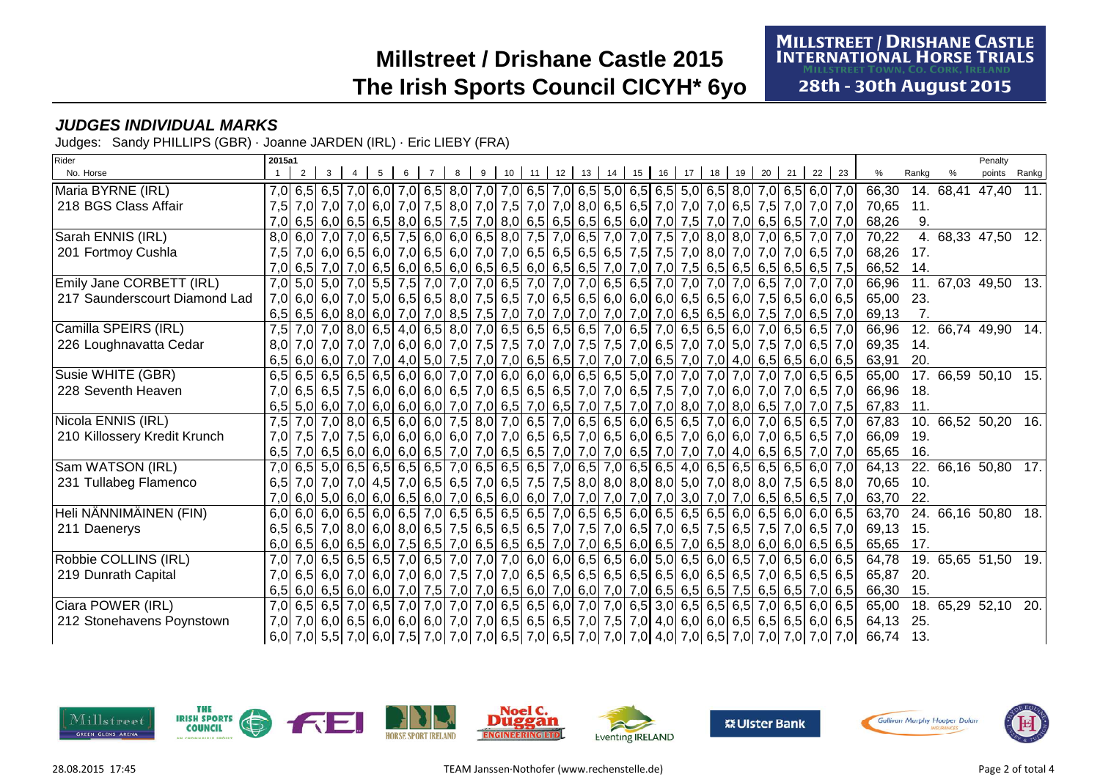**MILLSTREET / DRISHANE CASTLE INTERNATIONAL HORSE TRIALS ILLSTREET TOWN. CO. CORK. IRELAND** 

**28th - 30th August 2015** 

#### **JUDGES INDIVIDUAL MARKS**

Judges: Sandy PHILLIPS (GBR) · Joanne JARDEN (IRL) · Eric LIEBY (FRA)

| Rider                         | 2015a1           |  |                                                                                                                         |  |   |    |  |         |    |    |    |    |    |    |    |    |    |                 |                                                                                                                            |       |           | Penalty             |       |
|-------------------------------|------------------|--|-------------------------------------------------------------------------------------------------------------------------|--|---|----|--|---------|----|----|----|----|----|----|----|----|----|-----------------|----------------------------------------------------------------------------------------------------------------------------|-------|-----------|---------------------|-------|
| No. Horse                     |                  |  |                                                                                                                         |  | 9 | 10 |  | $12$ 13 | 14 | 15 | 16 | 17 | 18 | 19 | 20 | 21 | 22 | 23              | %                                                                                                                          | Rankg |           | points              | Rankg |
| Maria BYRNE (IRL)             |                  |  | 7,0 6,5 6,5 6,0 7,0 6,5 6,0 7,0 6,5 6,0 7,0 6,5 7,0 6,5 7,0 6,5 6,5 6,5 6,5 6,5 6,0 7,0 6,5 6,0 7,0 6,5 6,0 7,0         |  |   |    |  |         |    |    |    |    |    |    |    |    |    |                 | 66,30                                                                                                                      |       | 14. 68,41 | 47,40 11.           |       |
| 218 BGS Class Affair          |                  |  | 7,5 7,0 7,0 7,0 6,0 7,0 7,5 8,0 7,0 7,5 7,0 7,0 8,0 6,5 6,5 7,0 7,0 7,0 6,5 7,5 7,0 7,0 7,0 7,0 7,0 7,0                 |  |   |    |  |         |    |    |    |    |    |    |    |    |    |                 | 70,65                                                                                                                      | 11.   |           |                     |       |
|                               |                  |  | 7,0 6,5 6,5 6,5 6,5 6,5 8,0 6,5 7,0 8,0 6,5 6,5 6,5 6,5 6,5 6,6 7,0 7,5 7,0 7,0 6,5 6,5 6,5 7,0 7,0                     |  |   |    |  |         |    |    |    |    |    |    |    |    |    |                 | 68,26                                                                                                                      | 9.    |           |                     |       |
| Sarah ENNIS (IRL)             |                  |  | 8,0 6,0 7,0 6,5 7,0 6,5 7,5 6,0 6,0 6,5 8,0 7,5 7,0 6,5 7,0 7,0 7,5 7,0 8,0 8,0 7,0 6,5 7,0 7,0 7,0                     |  |   |    |  |         |    |    |    |    |    |    |    |    |    |                 | 70,22                                                                                                                      |       |           | 4. 68,33 47,50 12.  |       |
| 201 Fortmoy Cushla            | 7.5              |  | 7,0 6,0 7,0 7,0 6,5 6,0 7,0 6,5 6,0 7,0 7,0 6,5 6,5 6,5 6,5 6,5 7,5 7,5 7,0 8,0 7,0 7,0 7,0 6,5 7,0                     |  |   |    |  |         |    |    |    |    |    |    |    |    |    |                 | 68,26                                                                                                                      | 17.   |           |                     |       |
|                               |                  |  | 7,0 6,5 7,0 7,0 7,0 6,5 6,5 6,0 6,5 6,0 6,5 6,5 6,6 6,0 6,5 6,5 7,0 7,0 7,0 7,5 6,5 6,5 6,5 6,5 6,5 6,5 7,5             |  |   |    |  |         |    |    |    |    |    |    |    |    |    |                 | 66,52                                                                                                                      | 14.   |           |                     |       |
| Emily Jane CORBETT (IRL)      |                  |  | 7,0 5,0 7,0 7,0 5,5 7,5 7,0 7,0 7,0 6,5 7,0 7,0 7,0 6,5 6,5 7,0 7,0 7,0 7,0 7,0 7,0 6,5                                 |  |   |    |  |         |    |    |    |    |    |    |    |    |    | $7,0$ 7,0 $7,0$ | 66,96                                                                                                                      |       |           | 11. 67,03 49,50 13. |       |
| 217 Saunderscourt Diamond Lad |                  |  | 7,0 6,0 7,5 6,5 6,0 7,0 5,0 6,5 6,5 8,0 7,5 6,5 7,0 6,5 6,5 6,0 6,0 6,0 6,0 6,5 6,5 6,0 7,5 6,5 6,0 6,5                 |  |   |    |  |         |    |    |    |    |    |    |    |    |    |                 | 65,00                                                                                                                      | 23.   |           |                     |       |
|                               |                  |  | 6,5 6,0 7,5 7,0 6,5 7,0 6,5 7,0 7,0 8,5 7,5 7,0 7,0 7,0 7,0 7,0 7,0 7,0 7,0 6,5 6,5 6,0 7,5 7,0 6,5 7,0                 |  |   |    |  |         |    |    |    |    |    |    |    |    |    |                 | 69,13                                                                                                                      | 7.    |           |                     |       |
| Camilla SPEIRS (IRL)          |                  |  | 7,5 7,0 7,0 8,0 6,5 4,0 6,5 8,0 7,0 6,5 6,5 6,5 6,5 7,0 6,5 7,0 6,5 6,5 6,0 7,0 6,5 6,0 7,0 6,5 6,5 7,0                 |  |   |    |  |         |    |    |    |    |    |    |    |    |    |                 | 66,96                                                                                                                      |       |           | 12. 66,74 49,90 14. |       |
| 226 Loughnavatta Cedar        |                  |  | 8,0 7,0 7,0 7,0 7,0 6,5 7,0 6,0 6,0 7,0 7,5 7,5 7,0 7,0 7,5 7,5 7,5 7,0 6,5 7,0 7,0 5,0 7,5 7,0 6,5 7,0                 |  |   |    |  |         |    |    |    |    |    |    |    |    |    |                 | 69,35                                                                                                                      | 14.   |           |                     |       |
|                               |                  |  | 6,5 6,0 7,0 7,0 4,0 5,0 7,5 7,0 7,0 6,5 6,5 7,0 7,0 7,0 7,0 7,0 6,5 7,0 7,0 6,5 7,0 7,0 4,0 6,5 6,5 6,0 6,5             |  |   |    |  |         |    |    |    |    |    |    |    |    |    |                 | 63,91                                                                                                                      | 20.   |           |                     |       |
| Susie WHITE (GBR)             |                  |  | 6,5 6,5 6,5 6,5 6,5 6,6 6,0 6,0 7,0 7,0 6,0 6,0 6,0 6,5 6,5 5,0 7,0 7,0 7,0 7,0 7,0 7,0 7,0 6,5 6,5                     |  |   |    |  |         |    |    |    |    |    |    |    |    |    |                 | 65,00                                                                                                                      |       |           | 17. 66,59 50,10 15. |       |
| 228 Seventh Heaven            |                  |  | 7,0 6,5 7,0 7,0 6,5 7,0 7,0 6,5 7,0 6,5 7,0 6,5 7,0 6,5 7,0 7,0 6,5 7,6 7,6 7,6 7,0 7,0 6,0 7,0 7,0 6,5 7,0 7,0 6,5 7,0 |  |   |    |  |         |    |    |    |    |    |    |    |    |    |                 | 66,96                                                                                                                      | 18.   |           |                     |       |
|                               |                  |  | 6,5 5,0 6,0 7,0 6,0 6,0 6,0 6,0 7,0 7,0 7,0 6,5 7,0 6,5 7,0 7,5 7,0 7,0 8,0 7,0 8,0 6,5 7,0 7,0 7,0 7,5                 |  |   |    |  |         |    |    |    |    |    |    |    |    |    |                 | 67,83                                                                                                                      | 11.   |           |                     |       |
| Nicola ENNIS (IRL)            |                  |  | 7,5 7,0 7,0 8,0 6,5 6,0 6,0 7,5 8,0 7,0 6,5 7,0 6,5 6,5 6,0 6,5 6,5 7,0 6,0 7,0 6,5 6,5 7,0                             |  |   |    |  |         |    |    |    |    |    |    |    |    |    |                 | 67,83                                                                                                                      |       |           | 10. 66,52 50,20     | 16.   |
| 210 Killossery Kredit Krunch  | 7.0 <sub>l</sub> |  | 7,5 7,0 7,5 6,0 6,0 6,0 6,0 6,0 7,0 7,0 6,5 6,5 7,0 6,5 6,0 6,5 7,0 6,0 6,0 7,0 6,5 6,5 7,0                             |  |   |    |  |         |    |    |    |    |    |    |    |    |    |                 | 66,09                                                                                                                      | 19.   |           |                     |       |
|                               |                  |  | 6,5 7,0 6,5 6,5 7,0 6,5 6,5 7,0 6,0 6,6 7,0 7,0 6,5 6,5 7,0 7,0 7,0 6,5 7,0 7,0 7,0 7,0 4,0 6,5 6,5 7,0 7,0 7,0         |  |   |    |  |         |    |    |    |    |    |    |    |    |    |                 | 65,65                                                                                                                      | 16.   |           |                     |       |
| Sam WATSON (IRL)              |                  |  | 7,0 6,5 5,0 6,5 6,5 6,5 6,5 6,5 7,0 6,5 6,5 6,5 7,0 6,5 7,0 6,5 7,0 6,5 4,0 6,5 6,5 6,5 6,5 6,5 6,0 7,0                 |  |   |    |  |         |    |    |    |    |    |    |    |    |    |                 | 64,13                                                                                                                      |       |           | 22. 66,16 50,80 17. |       |
| 231 Tullabeg Flamenco         | 6.5              |  | 7,0 7,0 7,0 4,5 7,0 6,5 6,6 7,0 6,5 7,0 6,5 7,5 7,5 8,0 8,0 8,0 8,0 5,0 7,0 8,0 8,0 7,5 6,5 8,0                         |  |   |    |  |         |    |    |    |    |    |    |    |    |    |                 | 70,65                                                                                                                      | 10.   |           |                     |       |
|                               |                  |  | 7,0 6,0 6,0 6,0 6,0 6,0 6,5 6,6 7,0 6,5 6,0 7,0 6,5 6,0 6,0 7,0 7,0 7,0 7,0 7,0 7,0 3,0 7,0 7,0 6,5 6,5 6,5 7,0         |  |   |    |  |         |    |    |    |    |    |    |    |    |    |                 | 63,70                                                                                                                      | 22.   |           |                     |       |
| Heli NÄNNIMÄINEN (FIN)        |                  |  | 6,0 6,0 6,0 6,5 6,0 6,5 7,0 6,5 6,5 6,5 6,5 6,5 7,0 6,5 6,5 6,0 6,5 6,5 6,5 6,5 6,0 6,5 6,0 6,5 6,0 6,0 6,5             |  |   |    |  |         |    |    |    |    |    |    |    |    |    |                 | 63,70                                                                                                                      |       |           | 24. 66,16 50,80     | 18.   |
| 211 Daenerys                  |                  |  | 6,5 6,5 7,0 8,0 6,0 8,0 6,5 7,5 6,5 7,5 6,5 6,5 7,0 7,5 7,0 6,5 7,0 6,5 7,5 6,5 7,5 6,5 7,5 7,0 6,5 7,0                 |  |   |    |  |         |    |    |    |    |    |    |    |    |    |                 | 69,13                                                                                                                      | 15.   |           |                     |       |
|                               |                  |  | 6,0 6,5 6,0 6,5 6,0 7,5 6,5 7,0 6,5 6,5 6,5 7,0 7,0 6,5 6,5 6,0 6,5 7,0 6,5 8,0 6,0 6,0 6,0 6,0 6,5 6,5                 |  |   |    |  |         |    |    |    |    |    |    |    |    |    |                 | 65,65                                                                                                                      | 17.   |           |                     |       |
| Robbie COLLINS (IRL)          |                  |  | 7,0 7,0 6,5 6,5 6,5 7,0 6,5 7,0 6,5 7,0 7,0 7,0 6,0 6,0 6,5 6,5 6,0 5,0 6,5 6,0 6,5 7,0 6,5 6,0 6,5 7,0 6,5             |  |   |    |  |         |    |    |    |    |    |    |    |    |    |                 | 64,78                                                                                                                      |       |           | 19. 65,65 51,50 19. |       |
| 219 Dunrath Capital           |                  |  |                                                                                                                         |  |   |    |  |         |    |    |    |    |    |    |    |    |    |                 | 65,87                                                                                                                      | 20.   |           |                     |       |
|                               |                  |  | 6,5 6,5 6,5 6,5 6,5 6,5 6,5 7,0 6,5 6,6 7,0 6,5 6,0 7,0 6,0 7,0 6,6 6,5 6,5 6,5 7,5 6,5 6,5 7,0 6,5 6                   |  |   |    |  |         |    |    |    |    |    |    |    |    |    |                 | 66,30                                                                                                                      | 15.   |           |                     |       |
| Ciara POWER (IRL)             |                  |  | 7,0 6,5 6,5 7,0 6,5 7,0 6,5 7,0 7,0 7,0 7,0 6,5 6,5 6,0 7,0 7,0 6,5 3,0 6,5 6,5 6,5 7,0 6,5 6,0 6,5                     |  |   |    |  |         |    |    |    |    |    |    |    |    |    |                 | 65,00                                                                                                                      |       |           | 18. 65,29 52,10 20. |       |
| 212 Stonehavens Poynstown     |                  |  | 7,0 7,0 6,5 6,5 6,5 6,0 6,0 6,0 6,0 7,0 7,0 6,5 6,5 6,5 7,0 7,5 7,0 4,0 6,0 6,0 6,5 6,5 6,5 6,0 6,5 6,0 6,5             |  |   |    |  |         |    |    |    |    |    |    |    |    |    |                 | 64,13                                                                                                                      | 25.   |           |                     |       |
|                               |                  |  |                                                                                                                         |  |   |    |  |         |    |    |    |    |    |    |    |    |    |                 | 66,74 [6,0] 7,0 [6,5] 7,0 [6,0] 7,5 [7,0] 7,0 [7,0] 6,5 [7,0] 6,5 [7,0] 7,0] 7,0] 4,0 [7,0] 6,5 [7,0] 7,0] 7,0 [7,0] 66,74 | 13.   |           |                     |       |

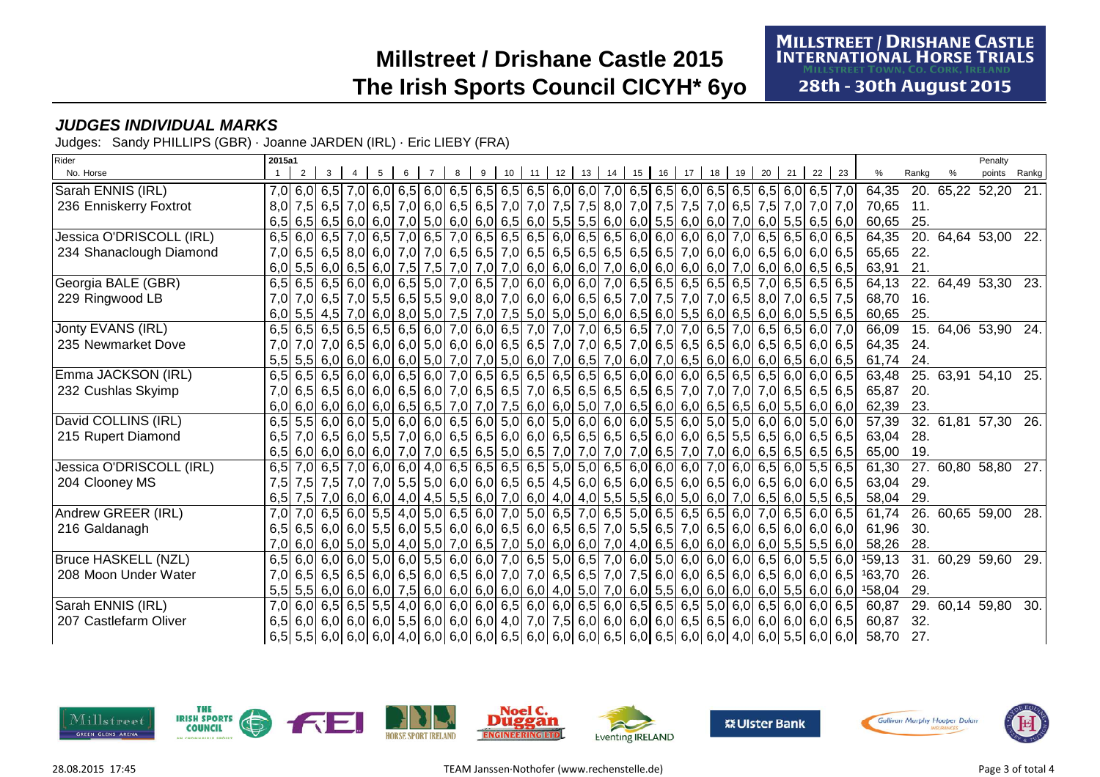**MILLSTREET / DRISHANE CASTLE INTERNATIONAL HORSE TRIALS ILLSTREET TOWN. CO. CORK. IRELAND** 

**28th - 30th August 2015** 

#### **JUDGES INDIVIDUAL MARKS**

Judges: Sandy PHILLIPS (GBR) · Joanne JARDEN (IRL) · Eric LIEBY (FRA)

| Rider                      | 2015a1           |  |  |  |   |    |                 |    |    |    |    |    |    |    |                                                                                                                                            |    |    |    |                                                                                                                       |       |                     | Penalty |                   |
|----------------------------|------------------|--|--|--|---|----|-----------------|----|----|----|----|----|----|----|--------------------------------------------------------------------------------------------------------------------------------------------|----|----|----|-----------------------------------------------------------------------------------------------------------------------|-------|---------------------|---------|-------------------|
| No. Horse                  |                  |  |  |  | 9 | 10 | 12 <sup>1</sup> | 13 | 14 | 15 | 16 | 17 | 18 | 19 | 20                                                                                                                                         | 21 | 22 | 23 | %                                                                                                                     | Ranka |                     | points  | Rankg             |
| Sarah ENNIS (IRL)          |                  |  |  |  |   |    |                 |    |    |    |    |    |    |    | 7,0 6,0 6,5 7,0 6,0 6,5 6,0 6,5 6,0 6,5 6,5 6,5 6,6 6,0 7,0 6,5 6,5 6,0 6,5 6,5 6,5 6,5 6,0 6,5 7,0                                        |    |    |    | 64,35                                                                                                                 |       | 20. 65,22 52,20     |         | 21.               |
| 236 Enniskerry Foxtrot     | 8.0 <sub>1</sub> |  |  |  |   |    |                 |    |    |    |    |    |    |    | 7,5 6,5 7,0 6,5 7,0 6,5 7,0 6,0 6,5 6,5 7,0 7,0 7,0 7,5 8,0 7,0 7,5 7,5 7,5 7,0 6,5 7,5 7,0 7,0 7,0 7,0                                    |    |    |    | 70,65 11.                                                                                                             |       |                     |         |                   |
|                            |                  |  |  |  |   |    |                 |    |    |    |    |    |    |    |                                                                                                                                            |    |    |    | 60,65                                                                                                                 | 25.   |                     |         |                   |
| Jessica O'DRISCOLL (IRL)   |                  |  |  |  |   |    |                 |    |    |    |    |    |    |    | 6,5 6,0 6,5 7,0 6,5 7,0 6,5 7,0 6,5 7,0 6,5 6,5 6,5 6,5 6,0 6,5 6,5 6,0 6,0 6,0 6,0 7,0 6,5 6,5 6,0 6,5 6,0 6,5                            |    |    |    | 64,35                                                                                                                 |       | 20. 64,64 53,00 22. |         |                   |
| 234 Shanaclough Diamond    |                  |  |  |  |   |    |                 |    |    |    |    |    |    |    | 7,0 6,5 6,5 8,0 6,0 7,0 7,0 6,5 6,5 7,0 6,5 6,5 6,5 6,5 6,5 6,5 6,5 7,0 6,0 6,0 6,5 6,0 6,0 6,0 6,0 6,5                                    |    |    |    | 65,65                                                                                                                 | 22.   |                     |         |                   |
|                            |                  |  |  |  |   |    |                 |    |    |    |    |    |    |    | $6,0$ 5,5 6,0 6,5 6,0 7,5 7,5 7,0 7,0 7,0 6,0 6,0 6,0 7,0 6,0 6,0 6,0 6,0 6,0 7,0 6,0 7,0 6,0 6,0 6,0 6,5 6,5                              |    |    |    | 63,91                                                                                                                 | 21.   |                     |         |                   |
| Georgia BALE (GBR)         |                  |  |  |  |   |    |                 |    |    |    |    |    |    |    | 6,5 6,5 6,5 6,5 6,0 6,0 6,5 5,0 7,0 6,5 7,0 6,0 6,0 6,0 7,0 6,5 6,5 6,5 6,5 6,5 7,0 6,5 6,5 6,5 6,5 6,5                                    |    |    |    | 64,13                                                                                                                 |       | 22. 64,49 53,30 23. |         |                   |
| 229 Ringwood LB            | 7.0              |  |  |  |   |    |                 |    |    |    |    |    |    |    | 7,0 6,5 7,0 5,5 6,5 6,5 9,0 8,0 7,0 6,0 6,0 6,5 6,5 7,0 7,5 7,0 7,0 6,5 8,0 7,0 6,5 7,5                                                    |    |    |    | 68,70                                                                                                                 | 16.   |                     |         |                   |
|                            |                  |  |  |  |   |    |                 |    |    |    |    |    |    |    | $6,0$ 5,5 4,5 7,0 6,0 8,0 5,0 7,5 7,0 7,5 5,0 5,0 5,0 6,0 6,5 6,0 5,5 6,0 6,5 6,0 6,5 6,0 6,0 6,0 5,5 6,0                                  |    |    |    | 60,65                                                                                                                 | 25.   |                     |         |                   |
| Jonty EVANS (IRL)          |                  |  |  |  |   |    |                 |    |    |    |    |    |    |    | 6,5 6,5 6,5 6,5 6,5 6,5 6,6 6,6 7,0 6,0 6,5 7,0 7,0 7,0 7,0 6,5 6,5 7,0 7,0 6,5 7,0 6,5 7,0 6,5 6,5 6,0 7,0                                |    |    |    | 66,09                                                                                                                 |       | 15. 64,06 53,90 24. |         |                   |
| 235 Newmarket Dove         | 7,0              |  |  |  |   |    |                 |    |    |    |    |    |    |    | 7,0 7,0 6,5 6,5 6,0 6,0 5,0 6,0 6,0 6,0 6,5 6,5 7,0 7,0 6,5 7,0 6,5 6,5 6,5 6,0 6,5 6,5 6,5 6,0 6,5                                        |    |    |    | 64,35                                                                                                                 | 24.   |                     |         |                   |
|                            |                  |  |  |  |   |    |                 |    |    |    |    |    |    |    | $5,5$ 5,5 6,0 6,0 6,0 6,0 6,0 5,0 7,0 7,0 5,0 6,0 7,0 6,5 7,0 6,0 7,0 6,5 6,0 6,0 6,0 6,0 6,0 6,5 6,0 6,5                                  |    |    |    | 61,74                                                                                                                 | 24.   |                     |         |                   |
| Emma JACKSON (IRL)         |                  |  |  |  |   |    |                 |    |    |    |    |    |    |    | 6,5 6,5 6,5 6,0 6,0 6,0 6,5 6,0 7,0 6,5 6,5 6,5 6,5 6,5 6,5 6,5 6,0 6,0 6,0 6,5 6,5 6,5 6,5 6,0 6,0 6,5                                    |    |    |    | 63,48                                                                                                                 |       | 25. 63.91 54.10 25. |         |                   |
| 232 Cushlas Skyimp         |                  |  |  |  |   |    |                 |    |    |    |    |    |    |    | 7,0 6,5 6,5 6,5 6,6 6,6 6,6 6,6 6,6 7,0 6,5 6,6 7,0 6,5 6,5 6,5 6,5 6,5 7,0 7,0 7,0 7,0 7,0 6,5 6,5 6,5 6,5                                |    |    |    | 65,87                                                                                                                 | 20.   |                     |         |                   |
|                            |                  |  |  |  |   |    |                 |    |    |    |    |    |    |    | $6,0 $ 6,0 $6,0 $ 6,0 $6,0 $ 6,0 $6,5 $ 6,5 $7,0 $ 7,0 $7,5 $ 6,0 $6,0 $ 5,0 $7,0 $ 6,5 $6,0 $ 6,0 $6,5 $ 6,5 $6,0 $ 5,5 $6,0 $ 6,0 $6,0 $ |    |    |    | 62,39                                                                                                                 | 23.   |                     |         |                   |
| David COLLINS (IRL)        |                  |  |  |  |   |    |                 |    |    |    |    |    |    |    | 6,5 5,5 6,0 6,0 5,0 6,0 6,0 6,0 6,5 6,0 5,0 6,0 5,0 6,0 6,0 6,0 6,0 5,5 6,0 5,0 5,0 6,0 6,0 6,0 5,0 6,0                                    |    |    |    | 57,39                                                                                                                 |       | 32. 61,81 57,30 26. |         |                   |
| 215 Rupert Diamond         | 6,5              |  |  |  |   |    |                 |    |    |    |    |    |    |    | 7,0 6,5 6,0 5,5 7,0 6,0 6,5 6,5 6,6 6,0 6,0 6,5 6,5 6,5 6,5 6,5 6,0 6,0 6,5 5,5 6,5 6,0 6,5 6,0 6,5 6,5                                    |    |    |    | 63,04                                                                                                                 | 28.   |                     |         |                   |
|                            |                  |  |  |  |   |    |                 |    |    |    |    |    |    |    |                                                                                                                                            |    |    |    | 65,00                                                                                                                 | 19.   |                     |         |                   |
| Jessica O'DRISCOLL (IRL)   |                  |  |  |  |   |    |                 |    |    |    |    |    |    |    | 6,5 7,0 6,5 7,0 6,0 6,0 4,0 6,5 6,5 6,5 6,5 6,5 5,0 5,0 6,5 6,0 6,0 6,0 7,0 6,0 6,5 6,0 5,5 6,5                                            |    |    |    | 61,30                                                                                                                 |       | 27. 60,80 58,80 27. |         |                   |
| 204 Clooney MS             | 7,5              |  |  |  |   |    |                 |    |    |    |    |    |    |    | 7,5 7,5 7,0 7,0 7,0 5,5 5,0 6,0 6,0 6,5 6,5 4,5 6,0 6,5 6,0 6,5 6,0 6,5 6,0 6,5 6,0 6,5 6,0 6,5 6,0 6,0 6,0                                |    |    |    | 63,04                                                                                                                 | 29.   |                     |         |                   |
|                            |                  |  |  |  |   |    |                 |    |    |    |    |    |    |    | $6,5$ 7,5 7,0 6,0 6,0 4,0 4,5 5,5 6,0 7,0 6,0 4,0 4,0 5,5 5,5 6,0 5,0 6,0 7,0 6,5 6,0 5,5 6,0 5,5 6,5                                      |    |    |    | 58,04                                                                                                                 | 29.   |                     |         |                   |
| Andrew GREER (IRL)         | 7.0              |  |  |  |   |    |                 |    |    |    |    |    |    |    | 7,0 6,5 6,0 5,5 4,0 5,0 6,5 6,0 7,0 5,0 6,5 7,0 6,5 5,0 6,5 6,5 6,5 6,5 6,0 7,0 6,5 6,0 6,5                                                |    |    |    | 61,74                                                                                                                 |       | 26. 60,65 59,00     |         | $\overline{28}$ . |
| 216 Galdanagh              |                  |  |  |  |   |    |                 |    |    |    |    |    |    |    | 6,5 6,5 6,0 6,0 6,0 6,0 6,0 6,0 6,5 6,0 6,0 6,5 6,0 6,5 6,5 7,0 5,5 6,5 7,0 6,5 6,0 6,5 6,0 6,5 6,0 6,0 6,0 6,0                            |    |    |    | 61,96                                                                                                                 | 30.   |                     |         |                   |
|                            |                  |  |  |  |   |    |                 |    |    |    |    |    |    |    | 7,0 6,0 6,0 5,0 5,0 4,0 5,0 7,0 6,5 7,0 5,0 6,0 6,0 7,0 4,0 6,5 6,0 6,0 6,0 5,5 5,5 6,0                                                    |    |    |    | 58,26                                                                                                                 | 28.   |                     |         |                   |
| <b>Bruce HASKELL (NZL)</b> |                  |  |  |  |   |    |                 |    |    |    |    |    |    |    |                                                                                                                                            |    |    |    | 6,5 6,0 6,0 6,0 6,0 5,0 6,0 5,5 6,0 6,0 7,0 6,5 5,0 6,5 7,0 6,0 5,0 6,0 6,0 6,0 6,0 6,5 6,0 5,5 6,0 159,13            |       | 31. 60,29 59,60     |         | $\overline{29}$ . |
| 208 Moon Under Water       |                  |  |  |  |   |    |                 |    |    |    |    |    |    |    | 7,0 6,5 6,0 6,5 6,0 6,6 6,0 6,5 6,0 6,5 6,0 7,0 7,0 6,5 6,5 7,0 7,5 6,0 6,0 6,5 6,0 6,5 6,0 6,0 6,0 6,0 6,5                                |    |    |    | 163,70                                                                                                                | 26.   |                     |         |                   |
|                            |                  |  |  |  |   |    |                 |    |    |    |    |    |    |    |                                                                                                                                            |    |    |    | $5,5$ 5,5 6,0 6,0 6,0 7,5 6,0 6,0 6,0 6,0 6,0 6,0 4,0 5,0 7,0 6,0 5,5 6,0 6,0 6,0 6,0 5,5 6,0 6,0 5,6 6,0 6,0 $15,01$ | 29.   |                     |         |                   |
| Sarah ENNIS (IRL)          |                  |  |  |  |   |    |                 |    |    |    |    |    |    |    | 7,0 6,0 6,5 6,5 6,5 4,0 6,0 6,0 6,0 6,5 6,0 6,0 6,5 6,0 6,5 6,0 6,5 6,5 6,5 6,6 6,0 6,0 6,5 6,0 6,0 6,0 6,5                                |    |    |    | 60,87                                                                                                                 |       | 29. 60,14 59,80     |         | 30.               |
| 207 Castlefarm Oliver      |                  |  |  |  |   |    |                 |    |    |    |    |    |    |    | 6,5 6,0 6,0 6,0 6,0 6,0 5,5 6,0 6,0 6,0 6,0 4,0 7,0 7,5 6,0 6,0 6,0 6,0 6,5 6,5 6,5 6,0 6,0 6,0 6,0 6,5                                    |    |    |    | 60,87                                                                                                                 | 32.   |                     |         |                   |
|                            |                  |  |  |  |   |    |                 |    |    |    |    |    |    |    |                                                                                                                                            |    |    |    | $6,5$ 5,5 6,0 6,0 6,0 4,0 6,0 6,0 6,0 6,0 6,0 6,5 6,0 6,0 6,0 6,5 6,0 6,5 6,0 6,0 6,0 4,0 6,0 5,5 6,0 6,0 58,70       | 27.   |                     |         |                   |